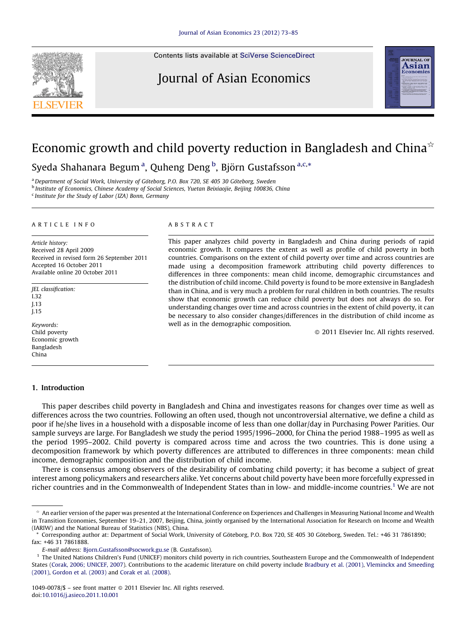Contents lists available at SciVerse [ScienceDirect](http://www.sciencedirect.com/science/journal/10490078)

## Journal of Asian Economics



# Economic growth and child poverty reduction in Bangladesh and China $\dot{\alpha}$

Syeda Shahanara Begum <sup>a</sup>, Quheng Deng <sup>b</sup>, Björn Gustafsson <sup>a,c,</sup>\*

<sup>a</sup> Department of Social Work, University of Göteborg, P.O. Box 720, SE 405 30 Göteborg, Sweden **b Institute of Economics, Chinese Academy of Social Sciences, Yuetan Beixiaojie, Beijing 100836, China**  $c$  Institute for the Study of Labor (IZA) Bonn, Germany

#### A R T I C L E I N F O

Article history: Received 28 April 2009 Received in revised form 26 September 2011 Accepted 16 October 2011 Available online 20 October 2011

JEL classification: I.32 J.13 J.15

Keywords: Child poverty Economic growth Bangladesh China

### 1. Introduction

### A B S T R A C T

This paper analyzes child poverty in Bangladesh and China during periods of rapid economic growth. It compares the extent as well as profile of child poverty in both countries. Comparisons on the extent of child poverty over time and across countries are made using a decomposition framework attributing child poverty differences to differences in three components: mean child income, demographic circumstances and the distribution of child income. Child poverty is found to be more extensive in Bangladesh than in China, and is very much a problem for rural children in both countries. The results show that economic growth can reduce child poverty but does not always do so. For understanding changes over time and across countries in the extent of child poverty, it can be necessary to also consider changes/differences in the distribution of child income as well as in the demographic composition.

- 2011 Elsevier Inc. All rights reserved.

This paper describes child poverty in Bangladesh and China and investigates reasons for changes over time as well as differences across the two countries. Following an often used, though not uncontroversial alternative, we define a child as poor if he/she lives in a household with a disposable income of less than one dollar/day in Purchasing Power Parities. Our sample surveys are large. For Bangladesh we study the period 1995/1996–2000, for China the period 1988–1995 as well as the period 1995–2002. Child poverty is compared across time and across the two countries. This is done using a decomposition framework by which poverty differences are attributed to differences in three components: mean child income, demographic composition and the distribution of child income.

There is consensus among observers of the desirability of combating child poverty; it has become a subject of great interest among policymakers and researchers alike. Yet concerns about child poverty have been more forcefully expressed in richer countries and in the Commonwealth of Independent States than in low- and middle-income countries.<sup>1</sup> We are not

 $\stackrel{\star}{\cdot}$  An earlier version of the paper was presented at the International Conference on Experiences and Challenges in Measuring National Income and Wealth in Transition Economies, September 19–21, 2007, Beijing, China, jointly organised by the International Association for Research on Income and Wealth (IARIW) and the National Bureau of Statistics (NBS), China.

Corresponding author at: Department of Social Work, University of Göteborg, P.O. Box 720, SE 405 30 Göteborg, Sweden. Tel.: +46 31 7861890; fax: +46 31 7861888.

E-mail address: [Bjorn.Gustafsson@socwork.gu.se](mailto:Bjorn.Gustafsson@socwork.gu.se) (B. Gustafsson).

<sup>&</sup>lt;sup>1</sup> The United Nations Children's Fund (UNICEF) monitors child poverty in rich countries, Southeastern Europe and the Commonwealth of Independent States (Corak, 2006; [UNICEF,](#page--1-0) 2007). Contributions to the academic literature on child poverty include [Bradbury](#page--1-0) et al. (2001), [Vleminckx](#page--1-0) and Smeeding [\(2001\)](#page--1-0), [Gordon](#page--1-0) et al. (2003) and Corak et al. [\(2008\).](#page--1-0)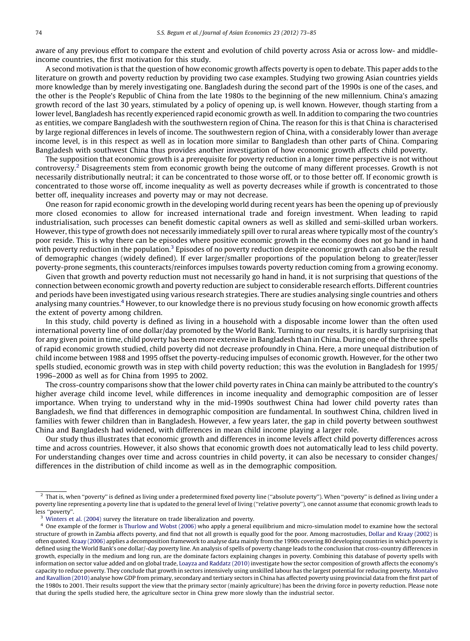aware of any previous effort to compare the extent and evolution of child poverty across Asia or across low- and middleincome countries, the first motivation for this study.

A second motivation is that the question of how economic growth affects poverty is open to debate. This paper adds to the literature on growth and poverty reduction by providing two case examples. Studying two growing Asian countries yields more knowledge than by merely investigating one. Bangladesh during the second part of the 1990s is one of the cases, and the other is the People's Republic of China from the late 1980s to the beginning of the new millennium. China's amazing growth record of the last 30 years, stimulated by a policy of opening up, is well known. However, though starting from a lower level, Bangladesh has recently experienced rapid economic growth as well. In addition to comparing the two countries as entities, we compare Bangladesh with the southwestern region of China. The reason for this is that China is characterised by large regional differences in levels of income. The southwestern region of China, with a considerably lower than average income level, is in this respect as well as in location more similar to Bangladesh than other parts of China. Comparing Bangladesh with southwest China thus provides another investigation of how economic growth affects child poverty.

The supposition that economic growth is a prerequisite for poverty reduction in a longer time perspective is not without controversy.<sup>2</sup> Disagreements stem from economic growth being the outcome of many different processes. Growth is not necessarily distributionally neutral; it can be concentrated to those worse off, or to those better off. If economic growth is concentrated to those worse off, income inequality as well as poverty decreases while if growth is concentrated to those better off, inequality increases and poverty may or may not decrease.

One reason for rapid economic growth in the developing world during recent years has been the opening up of previously more closed economies to allow for increased international trade and foreign investment. When leading to rapid industrialisation, such processes can benefit domestic capital owners as well as skilled and semi-skilled urban workers. However, this type of growth does not necessarily immediately spill over to rural areas where typically most of the country's poor reside. This is why there can be episodes where positive economic growth in the economy does not go hand in hand with poverty reduction in the population.<sup>3</sup> Episodes of no poverty reduction despite economic growth can also be the result of demographic changes (widely defined). If ever larger/smaller proportions of the population belong to greater/lesser poverty-prone segments, this counteracts/reinforces impulses towards poverty reduction coming from a growing economy.

Given that growth and poverty reduction must not necessarily go hand in hand, it is not surprising that questions of the connection between economic growth and poverty reduction are subject to considerable research efforts. Different countries and periods have been investigated using various research strategies. There are studies analysing single countries and others analysing many countries.<sup>4</sup> However, to our knowledge there is no previous study focusing on how economic growth affects the extent of poverty among children.

In this study, child poverty is defined as living in a household with a disposable income lower than the often used international poverty line of one dollar/day promoted by the World Bank. Turning to our results, it is hardly surprising that for any given point in time, child poverty has been more extensive in Bangladesh than in China. During one of the three spells of rapid economic growth studied, child poverty did not decrease profoundly in China. Here, a more unequal distribution of child income between 1988 and 1995 offset the poverty-reducing impulses of economic growth. However, for the other two spells studied, economic growth was in step with child poverty reduction; this was the evolution in Bangladesh for 1995/ 1996–2000 as well as for China from 1995 to 2002.

The cross-country comparisons show that the lower child poverty rates in China can mainly be attributed to the country's higher average child income level, while differences in income inequality and demographic composition are of lesser importance. When trying to understand why in the mid-1990s southwest China had lower child poverty rates than Bangladesh, we find that differences in demographic composition are fundamental. In southwest China, children lived in families with fewer children than in Bangladesh. However, a few years later, the gap in child poverty between southwest China and Bangladesh had widened, with differences in mean child income playing a larger role.

Our study thus illustrates that economic growth and differences in income levels affect child poverty differences across time and across countries. However, it also shows that economic growth does not automatically lead to less child poverty. For understanding changes over time and across countries in child poverty, it can also be necessary to consider changes/ differences in the distribution of child income as well as in the demographic composition.

 $^2$  That is, when "poverty" is defined as living under a predetermined fixed poverty line ("absolute poverty"). When "poverty" is defined as living under a poverty line representing a poverty line that is updated to the general level of living (''relative poverty''), one cannot assume that economic growth leads to less ''poverty''.

<sup>&</sup>lt;sup>3</sup> [Winters](#page--1-0) et al. (2004) survey the literature on trade liberalization and poverty.

<sup>4</sup> One example of the former is [Thurlow](#page--1-0) and Wobst (2006) who apply a general equilibrium and micro-simulation model to examine how the sectoral structure of growth in Zambia affects poverty, and find that not all growth is equally good for the poor. Among macrostudies, Dollar and Kraay [\(2002\)](#page--1-0) is often quoted. Kraay [\(2006\)](#page--1-0) applies a decomposition framework to analyse data mainly from the 1990s covering 80 developing countries in which poverty is defined using the World Bank's one dollar/-day poverty line. An analysis of spells of poverty change leads to the conclusion that cross-country differences in growth, especially in the medium and long run, are the dominate factors explaining changes in poverty. Combining this database of poverty spells with information on sector value added and on global trade, Loayza and [Raddatz](#page--1-0) (2010) investigate how the sector composition of growth affects the economy's capacity to reduce poverty. They conclude that growth in sectors intensively using unskilled labour has the largest potential for reducing poverty. [Montalvo](#page--1-0) and [Ravallion](#page--1-0) (2010) analyse how GDP from primary, secondary and tertiary sectors in China has affected poverty using provincial data from the first part of the 1980s to 2001. Their results support the view that the primary sector (mainly agriculture) has been the driving force in poverty reduction. Please note that during the spells studied here, the agriculture sector in China grew more slowly than the industrial sector.